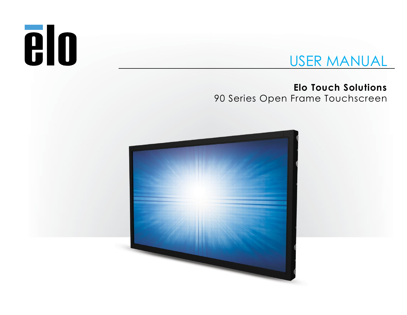# **elo**

# USER MANUAL

**Elo Touch Solutions** 90 Series Open Frame Touchscreen

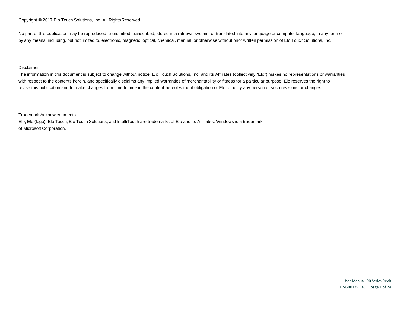Copyright © 2017 Elo Touch Solutions, Inc. All Rights Reserved.

No part of this publication may be reproduced, transmitted, transcribed, stored in a retrieval system, or translated into any language or computer language, in any form or by any means, including, but not limited to, electronic, magnetic, optical, chemical, manual, or otherwise without prior written permission of Elo Touch Solutions, Inc.

#### Disclaimer

The information in this document is subject to change without notice. Elo Touch Solutions, Inc. and its Affiliates (collectively "Elo") makes no representations or warranties with respect to the contents herein, and specifically disclaims any implied warranties of merchantability or fitness for a particular purpose. Elo reserves the right to revise this publication and to make changes from time to time in the content hereof without obligation of Elo to notify any person of such revisions or changes.

Trademark Acknowledgments

Elo, Elo (logo), Elo Touch, Elo Touch Solutions, and IntelliTouch are trademarks of Elo and its Affiliates. Windows is a trademark of Microsoft Corporation.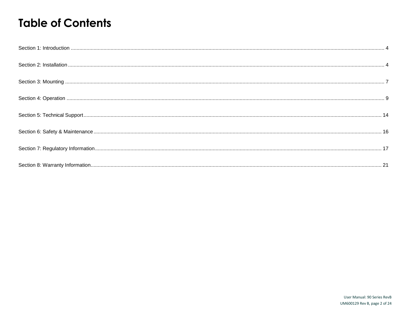# **Table of Contents**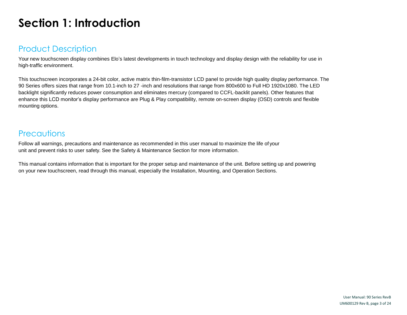# <span id="page-3-0"></span>**Section 1: Introduction**

## Product Description

Your new touchscreen display combines Elo's latest developments in touch technology and display design with the reliability for use in high-traffic environment.

This touchscreen incorporates a 24-bit color, active matrix thin-film-transistor LCD panel to provide high quality display performance. The 90 Series offers sizes that range from 10.1-inch to 27 -inch and resolutions that range from 800x600 to Full HD 1920x1080. The LED backlight significantly reduces power consumption and eliminates mercury (compared to CCFL-backlit panels). Other features that enhance this LCD monitor's display performance are Plug & Play compatibility, remote on-screen display (OSD) controls and flexible mounting options.

## **Precautions**

Follow all warnings, precautions and maintenance as recommended in this user manual to maximize the life of your unit and prevent risks to user safety. See the Safety & Maintenance Section for more information.

This manual contains information that is important for the proper setup and maintenance of the unit. Before setting up and powering on your new touchscreen, read through this manual, especially the Installation, Mounting, and Operation Sections.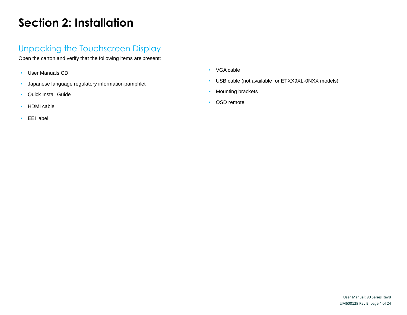# <span id="page-4-0"></span>**Section 2: Installation**

## Unpacking the Touchscreen Display

Open the carton and verify that the following items are present:

- User Manuals CD
- Japanese language regulatory information pamphlet
- Quick Install Guide
- HDMI cable
- EEI label
- VGA cable
- USB cable (not available for ETXX9XL-0NXX models)
- Mounting brackets
- OSD remote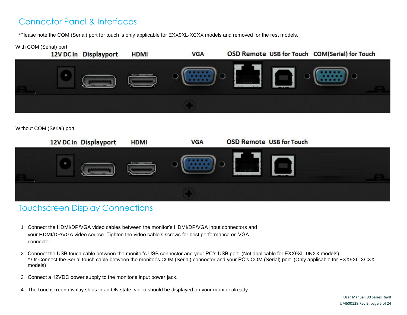## Connector Panel & Interfaces

\*Please note the COM (Serial) port for touch is only applicable for EXX9XL-XCXX models and removed for the rest models.

#### With COM (Serial) port



Without COM (Serial) port



## Touchscreen Display Connections

- 1. Connect the HDMI/DP/VGA video cables between the monitor's HDMI/DP/VGA input connectors and your HDMI/DP/VGA video source. Tighten the video cable's screws for best performance on VGA connector.
- 2. Connect the USB touch cable between the monitor's USB connector and your PC's USB port. (Not applicable for EXX9XL-0NXX models) \* Or Connect the Serial touch cable between the monitor's COM (Serial) connector and your PC's COM (Serial) port. (Only applicable for EXX9XL-XCXX models)
- 3. Connect a 12VDC power supply to the monitor's input power jack.
- 4. The touchscreen display ships in an ON state, video should be displayed on your monitor already.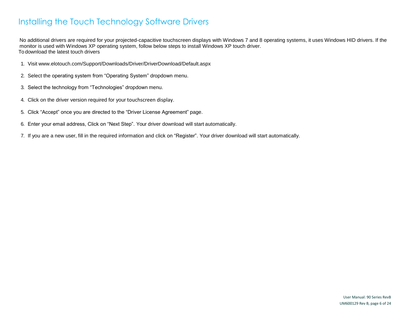## Installing the Touch Technology Software Drivers

No additional drivers are required for your projected-capacitive touchscreen displays with Windows 7 and 8 operating systems, it uses Windows HID drivers. If the monitor is used with Windows XP operating system, follow below steps to install Windows XP touch driver. To download the latest touch drivers

- 1. Visit [www.elotouch.com/Support/Downloads/Driver/DriverDownload/Default.aspx](http://www.elotouch.com/Support/Downloads/Driver/DriverDownload/Default.aspx)
- 2. Select the operating system from "Operating System" dropdown menu.
- 3. Select the technology from "Technologies" dropdown menu.
- 4. Click on the driver version required for your touchscreen display.
- 5. Click "Accept" once you are directed to the "Driver License Agreement" page.
- 6. Enter your email address, Click on "Next Step". Your driver download will start automatically.
- 7. If you are a new user, fill in the required information and click on "Register". Your driver download will start automatically.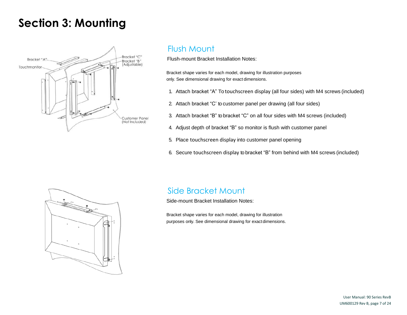## <span id="page-7-0"></span>**Section 3: Mounting**



## Flush Mount

Flush-mount Bracket Installation Notes:

Bracket shape varies for each model, drawing for illustration purposes only. See dimensional drawing for exact dimensions.

- 1. Attach bracket "A" To touchscreen display (all four sides) with M4 screws (included)
- 2. Attach bracket "C' to customer panel per drawing (all four sides)
- 3. Attach bracket "B" to bracket "C" on all four sides with M4 screws (included)
- 4. Adjust depth of bracket "B" so monitor is flush with customer panel
- 5. Place touchscreen display into customer panel opening
- 6. Secure touchscreen display to bracket "B" from behind with M4 screws (included)



## Side Bracket Mount

Side-mount Bracket Installation Notes:

Bracket shape varies for each model, drawing for illustration purposes only. See dimensional drawing for exact dimensions.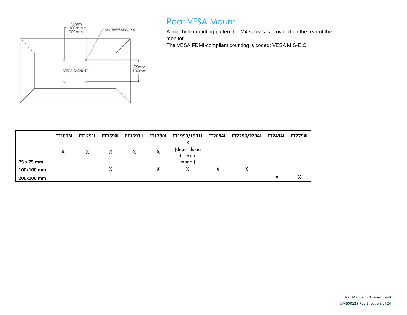

## Rear VESA Mount

A four-hole mounting pattern for M4 screws is provided on the rear of the monitor.

The VESA FDMI-compliant counting is coded: VESA MIS-E,C.

|            | ET1093L | <b>ET1291L</b> | <b>ET1590L</b> | <b>ET1593L</b> | ET1790L | ET1990/1991L                       | <b>ET2094L</b> | ET2293/2294L | <b>ET2494L</b> | <b>ET2794L</b> |
|------------|---------|----------------|----------------|----------------|---------|------------------------------------|----------------|--------------|----------------|----------------|
| 75 x 75 mm | x       | X              | Χ              | Χ              | Χ       | (depends on<br>different<br>model) |                |              |                |                |
| 100x100 mm |         |                | Λ              |                | v<br>∧  | Λ                                  | Λ              | v<br>∧       |                |                |
| 200x100 mm |         |                |                |                |         |                                    |                |              | x              | ↗              |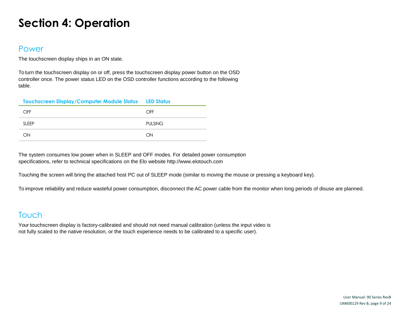# <span id="page-9-0"></span>**Section 4: Operation**

#### Power

The touchscreen display ships in an ON state.

To turn the touchscreen display on or off, press the touchscreen display power button on the OSD controller once. The power status LED on the OSD controller functions according to the following table.

| Touchscreen Display/Computer Module Status LED Status |                |
|-------------------------------------------------------|----------------|
| OFF                                                   | OFF            |
| SI FFP                                                | <b>PULSING</b> |
| ON                                                    | ON             |

The system consumes low power when in SLEEP and OFF modes. For detailed power consumption specifications, refer to technical specifications on the Elo website [http://www.elotouch.com](http://www.elotouch.com/)

Touching the screen will bring the attached host PC out of SLEEP mode (similar to moving the mouse or pressing a keyboard key).

To improve reliability and reduce wasteful power consumption, disconnect the AC power cable from the monitor when long periods of disuse are planned.

## Touch

Your touchscreen display is factory-calibrated and should not need manual calibration (unless the input video is not fully scaled to the native resolution, or the touch experience needs to be calibrated to a specific user).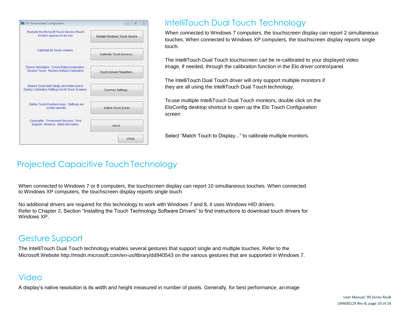

## IntelliTouch Dual Touch Technology

When connected to Windows 7 computers, the touchscreen display can report 2 simultaneous touches. When connected to Windows XP computers, the touchscreen display reports single touch.

The IntelliTouch Dual Touch touchscreen can be re-calibrated to your displayed video image, if needed, through the calibration function in the Elo driver controlpanel.

The IntelliTouch Dual Touch driver will only support multiple monitors if they are all using the IntelliTouch Dual Touch technology.

To use multiple IntelliTouch Dual Touch monitors, double click on the EloConfig desktop shortcut to open up the Elo Touch Configuration screen

Select "Match Touch to Display..." to calibrate multiple monitors.

## Projected Capacitive Touch Technology

When connected to Windows 7 or 8 computers, the touchscreen display can report 10 simultaneous touches. When connected to Windows XP computers, the touchscreen display reports single touch.

No additional drivers are required for this technology to work with Windows 7 and 8, it uses Windows HID drivers. Refer to Chapter 2, Section "Installing the Touch Technology Software Drivers" to find instructions to download touch drivers for Windows XP.

## Gesture Support

The IntelliTouch Dual Touch technology enables several gestures that support single and multiple touches. Refer to the Microsoft Website<http://msdn.microsoft.com/en-us/library/dd940543> on the various gestures that are supported in Windows 7.

## Video

A display's native resolution is its width and height measured in number of pixels. Generally, for best performance, an image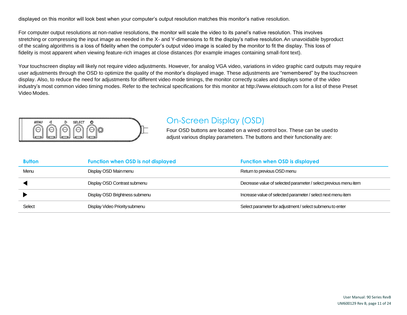displayed on this monitor will look best when your computer's output resolution matches this monitor's native resolution.

For computer output resolutions at non-native resolutions, the monitor will scale the video to its panel's native resolution. This involves stretching or compressing the input image as needed in the X- and Y-dimensions to fit the display's native resolution.An unavoidable byproduct of the scaling algorithms is a loss of fidelity when the computer's output video image is scaled by the monitor to fit the display. This loss of fidelity is most apparent when viewing feature-rich images at close distances (for example images containing small-font text).

Your touchscreen display will likely not require video adjustments. However, for analog VGA video, variations in video graphic card outputs may require user adjustments through the OSD to optimize the quality of the monitor's displayed image. These adjustments are "remembered" by the touchscreen display. Also, to reduce the need for adjustments for different video mode timings, the monitor correctly scales and displays some of the video industry's most common video timing modes. Refer to the technical specifications for this monitor [at http://www.elotouch.com](http://www.elotouch.com/) for a list of these Preset Video Modes.



## On-Screen Display (OSD)

Four OSD buttons are located on a wired control box. These can be used to adjust various display parameters. The buttons and their functionality are:

| <b>Button</b> | <b>Function when OSD is not displayed</b> | <b>Function when OSD is displayed</b>                            |
|---------------|-------------------------------------------|------------------------------------------------------------------|
| Menu          | Display OSD Mainmenu                      | Return to previous OSD menu                                      |
|               | Display OSD Contrast submenu              | Decrease value of selected parameter / select previous menu item |
|               | Display OSD Brightness submenu            | Increase value of selected parameter / select next menu item     |
| Select        | Display Video Priority submenu            | Select parameter for adjustment / select submenu to enter        |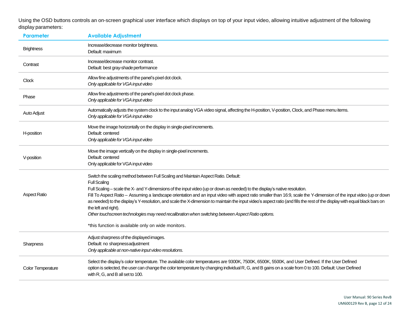Using the OSD buttons controls an on-screen graphical user interface which displays on top of your input video, allowing intuitive adjustment of the following display parameters:

| <b>Parameter</b>    | <b>Available Adjustment</b>                                                                                                                                                                                                                                                                                                                                                                                                                                                                                                                                                                                                                                                                                                                                                       |
|---------------------|-----------------------------------------------------------------------------------------------------------------------------------------------------------------------------------------------------------------------------------------------------------------------------------------------------------------------------------------------------------------------------------------------------------------------------------------------------------------------------------------------------------------------------------------------------------------------------------------------------------------------------------------------------------------------------------------------------------------------------------------------------------------------------------|
| <b>Brightness</b>   | Increase/decrease monitor brightness.<br>Default: maximum                                                                                                                                                                                                                                                                                                                                                                                                                                                                                                                                                                                                                                                                                                                         |
| Contrast            | Increase/decrease monitor contrast.<br>Default: best gray-shade performance                                                                                                                                                                                                                                                                                                                                                                                                                                                                                                                                                                                                                                                                                                       |
| <b>Clock</b>        | Allow fine adjustments of the panel's pixel dot clock.<br>Only applicable for VGA input video                                                                                                                                                                                                                                                                                                                                                                                                                                                                                                                                                                                                                                                                                     |
| Phase               | Allow fine adjustments of the panel's pixel dot clock phase.<br>Only applicable for VGA input video                                                                                                                                                                                                                                                                                                                                                                                                                                                                                                                                                                                                                                                                               |
| Auto Adjust         | Automatically adjusts the system clock to the input analog VGA video signal, affecting the H-position, V-position, Clock, and Phase menu items.<br>Only applicable for VGA input video                                                                                                                                                                                                                                                                                                                                                                                                                                                                                                                                                                                            |
| H-position          | Move the image horizontally on the display in single-pixel increments.<br>Default: centered<br>Only applicable for VGA input video                                                                                                                                                                                                                                                                                                                                                                                                                                                                                                                                                                                                                                                |
| V-position          | Move the image vertically on the display in single-pixel increments.<br>Default: centered<br>Only applicable for VGA input video                                                                                                                                                                                                                                                                                                                                                                                                                                                                                                                                                                                                                                                  |
| <b>Aspect Ratio</b> | Switch the scaling method between Full Scaling and Maintain Aspect Ratio. Default:<br><b>Full Scaling</b><br>Full Scaling - scale the X- and Y-dimensions of the input video (up or down as needed) to the display's native resolution.<br>Fill To Aspect Ratio - Assuming a landscape orientation and an input video with aspect ratio smaller than 16:9, scale the Y-dimension of the input video (up or down<br>as needed) to the display's Y-resolution, and scale the X-dimension to maintain the input video's aspect ratio (and fills the rest of the display with equal black bars on<br>the left and right).<br>Other touchscreen technologies may need recalibration when switching between Aspect Ratio options.<br>*this function is available only on wide monitors. |
| Sharpness           | Adjust sharpness of the displayed images.<br>Default: no sharpnessadjustment<br>Only applicable at non-native input video resolutions.                                                                                                                                                                                                                                                                                                                                                                                                                                                                                                                                                                                                                                            |
| Color Temperature   | Select the display's color temperature. The available color temperatures are 9300K, 7500K, 6500K, 6500K, and User Defined. If the User Defined<br>option is selected, the user can change the color temperature by changing individual R, G, and B gains on a scale from 0 to 100. Default: User Defined<br>with R, G, and B all set to 100.                                                                                                                                                                                                                                                                                                                                                                                                                                      |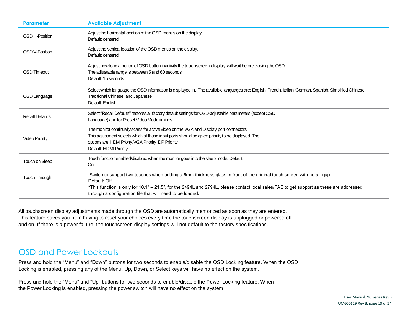| <b>Parameter</b>       | <b>Available Adjustment</b>                                                                                                                                                                                                                                                                                                                    |
|------------------------|------------------------------------------------------------------------------------------------------------------------------------------------------------------------------------------------------------------------------------------------------------------------------------------------------------------------------------------------|
| OSD H-Position         | Adjust the horizontal location of the OSD menus on the display.<br>Default: centered                                                                                                                                                                                                                                                           |
| <b>OSD V-Position</b>  | Adjust the vertical location of the OSD menus on the display.<br>Default: centered                                                                                                                                                                                                                                                             |
| <b>OSD Timeout</b>     | Adjust how long a period of OSD button inactivity the touchscreen display will wait before closing the OSD.<br>The adjustable range is between 5 and 60 seconds.<br>Default: 15 seconds                                                                                                                                                        |
| OSD Language           | Select which language the OSD information is displayed in. The available languages are: English, French, Italian, German, Spanish, Simplified Chinese,<br>Traditional Chinese, and Japanese.<br>Default: English                                                                                                                               |
| <b>Recall Defaults</b> | Select "Recall Defaults" restores all factory default settings for OSD-adjustable parameters (except OSD<br>Language) and for Preset Video Mode timings.                                                                                                                                                                                       |
| <b>Video Priority</b>  | The monitor continually scans for active video on the VGA and Display port connectors.<br>This adjustment selects which of those input ports should be given priority to be displayed. The<br>options are: HDMI Priority, VGA Priority, DP Priority<br>Default: HDMI Priority                                                                  |
| Touch on Sleep         | Touch function enabled/disabled when the monitor goes into the sleep mode. Default:<br><b>On</b>                                                                                                                                                                                                                                               |
| Touch Through          | Switch to support two touches when adding a 6mm thickness glass in front of the original touch screen with no air gap.<br>Default: Off<br>*This function is only for 10.1" - 21.5", for the 2494L and 2794L, please contact local sales/FAE to get support as these are addressed<br>through a configuration file that will need to be loaded. |

All touchscreen display adjustments made through the OSD are automatically memorized as soon as they are entered. This feature saves you from having to reset your choices every time the touchscreen display is unplugged or powered off and on. If there is a power failure, the touchscreen display settings will not default to the factory specifications.

#### OSD and Power Lockouts

Press and hold the "Menu" and "Down" buttons for two seconds to enable/disable the OSD Locking feature. When the OSD Locking is enabled, pressing any of the Menu, Up, Down, or Select keys will have no effect on the system.

Press and hold the "Menu" and "Up" buttons for two seconds to enable/disable the Power Locking feature. When the Power Locking is enabled, pressing the power switch will have no effect on the system.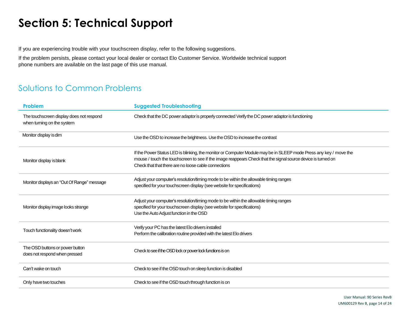# <span id="page-14-0"></span>**Section 5: Technical Support**

If you are experiencing trouble with your touchscreen display, refer to the following suggestions.

If the problem persists, please contact your local dealer or contact Elo Customer Service. Worldwide technical support phone numbers are available on the last page of this use manual.

## Solutions to Common Problems

| Problem                                                                | <b>Suggested Troubleshooting</b>                                                                                                                                                                                                                                                          |
|------------------------------------------------------------------------|-------------------------------------------------------------------------------------------------------------------------------------------------------------------------------------------------------------------------------------------------------------------------------------------|
| The touchscreen display does not respond<br>when turning on the system | Check that the DC power adaptor is properly connected Verify the DC power adaptor is functioning                                                                                                                                                                                          |
| Monitor display is dim                                                 | Use the OSD to increase the brightness. Use the OSD to increase the contrast                                                                                                                                                                                                              |
| Monitor display is blank                                               | If the Power Status LED is blinking, the monitor or Computer Module may be in SLEEP mode Press any key / move the<br>mouse / touch the touchscreen to see if the image reappears Check that the signal source device is turned on<br>Check that that there are no loose cable connections |
| Monitor displays an "Out Of Range" message                             | Adjust your computer's resolution/timing mode to be within the allowable timing ranges<br>specified for your touchscreen display (see website for specifications)                                                                                                                         |
| Monitor display image looks strange                                    | Adjust your computer's resolution/timing mode to be within the allowable timing ranges<br>specified for your touchscreen display (see website for specifications)<br>Use the Auto Adjust function in the OSD                                                                              |
| Touch functionality doesn't work                                       | Verify your PC has the latest Elo drivers installed<br>Perform the calibration routine provided with the latest Elo drivers                                                                                                                                                               |
| The OSD buttons or power button<br>does not respond when pressed       | Check to see if the OSD lock or power lock functions is on                                                                                                                                                                                                                                |
| Can't wake on touch                                                    | Check to see if the OSD touch on sleep function is disabled                                                                                                                                                                                                                               |
| Only have two touches                                                  | Check to see if the OSD touch through function is on                                                                                                                                                                                                                                      |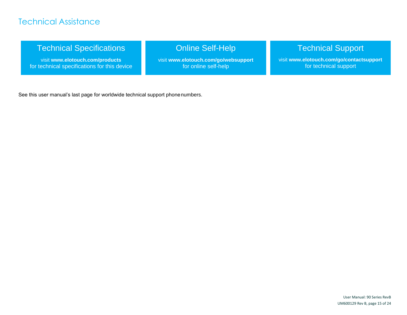## Technical Assistance

## Technical Specifications

visit **[www.elotouch.com/products](http://www.elotouch.com/products)** for technical specifications for this device

## Online Self-Help

visit **[www.elotouch.com/go/websupport](http://www.elotouch.com/go/websupport)** for online self-help

## Technical Support

visit **[www.elotouch.com/go/contactsupport](http://www.elotouch.com/go/contactsupport)** for technical support

See this user manual's last page for worldwide technical support phonenumbers.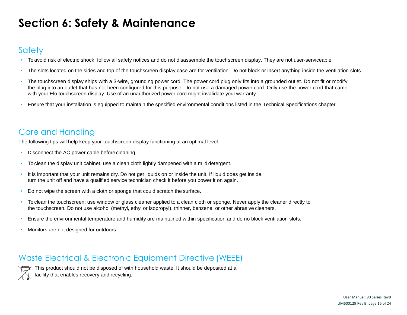# <span id="page-16-0"></span>**Section 6: Safety & Maintenance**

## **Safety**

- To avoid risk of electric shock, follow all safety notices and do not disassemble the touchscreen display. They are not user-serviceable.
- The slots located on the sides and top of the touchscreen display case are for ventilation. Do not block or insert anything inside the ventilation slots.
- The touchscreen display ships with a 3-wire, grounding power cord. The power cord plug only fits into a grounded outlet. Do not fit or modify the plug into an outlet that has not been configured for this purpose. Do not use a damaged power cord. Only use the power cord that came with your Elo touchscreen display. Use of an unauthorized power cord might invalidate your warranty.
- Ensure that your installation is equipped to maintain the specified environmental conditions listed in the Technical Specifications chapter.

## Care and Handling

The following tips will help keep your touchscreen display functioning at an optimal level:

- Disconnect the AC power cable before cleaning.
- To clean the display unit cabinet, use a clean cloth lightly dampened with a mild detergent.
- It is important that your unit remains dry. Do not get liquids on or inside the unit. If liquid does get inside, turn the unit off and have a qualified service technician check it before you power it on again.
- Do not wipe the screen with a cloth or sponge that could scratch the surface.
- To clean the touchscreen, use window or glass cleaner applied to a clean cloth or sponge. Never apply the cleaner directly to the touchscreen. Do not use alcohol (methyl, ethyl or isopropyl), thinner, benzene, or other abrasive cleaners.
- Ensure the environmental temperature and humidity are maintained within specification and do no block ventilation slots.
- Monitors are not designed for outdoors.

## Waste Electrical & Electronic Equipment Directive (WEEE)



This product should not be disposed of with household waste. It should be deposited at a facility that enables recovery and recycling.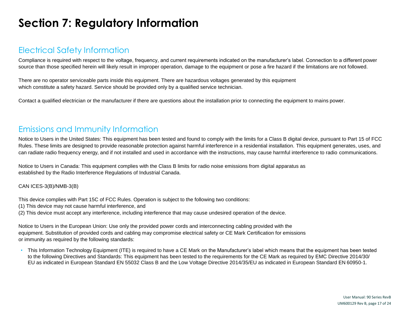# <span id="page-17-0"></span>**Section 7: Regulatory Information**

#### Electrical Safety Information

Compliance is required with respect to the voltage, frequency, and current requirements indicated on the manufacturer's label. Connection to a different power source than those specified herein will likely result in improper operation, damage to the equipment or pose a fire hazard if the limitations are not followed.

There are no operator serviceable parts inside this equipment. There are hazardous voltages generated by this equipment which constitute a safety hazard. Service should be provided only by a qualified service technician.

Contact a qualified electrician or the manufacturer if there are questions about the installation prior to connecting the equipment to mains power.

## Emissions and Immunity Information

Notice to Users in the United States: This equipment has been tested and found to comply with the limits for a Class B digital device, pursuant to Part 15 of FCC Rules. These limits are designed to provide reasonable protection against harmful interference in a residential installation. This equipment generates, uses, and can radiate radio frequency energy, and if not installed and used in accordance with the instructions, may cause harmful interference to radio communications.

Notice to Users in Canada: This equipment complies with the Class B limits for radio noise emissions from digital apparatus as established by the Radio Interference Regulations of Industrial Canada.

#### CAN ICES-3(B)/NMB-3(B)

This device complies with Part 15C of FCC Rules. Operation is subject to the following two conditions:

- (1) This device may not cause harmful interference, and
- (2) This device must accept any interference, including interference that may cause undesired operation of the device.

Notice to Users in the European Union: Use only the provided power cords and interconnecting cabling provided with the equipment. Substitution of provided cords and cabling may compromise electrical safety or CE Mark Certification for emissions or immunity as required by the following standards:

• This Information Technology Equipment (ITE) is required to have a CE Mark on the Manufacturer's label which means that the equipment has been tested to the following Directives and Standards: This equipment has been tested to the requirements for the CE Mark as required by EMC Directive 2014/30/ EU as indicated in European Standard EN 55032 Class B and the Low Voltage Directive 2014/35/EU as indicated in European Standard EN 60950-1.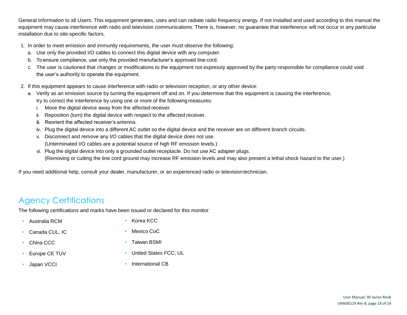General Information to all Users: This equipment generates, uses and can radiate radio frequency energy. If not installed and used according to this manual the equipment may cause interference with radio and television communications. There is, however, no guarantee that interference will not occur in any particular installation due to site-specific factors.

- 1. In order to meet emission and immunity requirements, the user must observe the following:
	- a. Use only the provided I/O cables to connect this digital device with any computer.
	- b. To ensure compliance, use only the provided manufacturer's approved line cord.
	- c. The user is cautioned that changes or modifications to the equipment not expressly approved by the party responsible for compliance could void the user's authority to operate the equipment.
- 2. If this equipment appears to cause interference with radio or television reception, or any other device:
	- a. Verify as an emission source by turning the equipment off and on. If you determine that this equipment is causing the interference, try to correct the interference by using one or more of the following measures:
		- i. Move the digital device away from the affected receiver.
		- ii. Reposition (turn) the digital device with respect to the affected receiver.
		- iii. Reorient the affected receiver's antenna.
		- iv. Plug the digital device into a different AC outlet so the digital device and the receiver are on different branch circuits.
		- v. Disconnect and remove any I/O cables that the digital device does not use. (Unterminated I/O cables are a potential source of high RF emission levels.)
		- vi. Plug the digital device into only a grounded outlet receptacle. Do not use AC adapter plugs. (Removing or cutting the line cord ground may increase RF emission levels and may also present a lethal shock hazard to the user.)

If you need additional help, consult your dealer, manufacturer, or an experienced radio or televisiontechnician.

## Agency Certifications

The following certifications and marks have been issued or declared for this monitor:

• Australia RCM

• Korea KCC

- Canada CUL, IC
- China CCC
- Europe CE TUV
- Japan VCCI
- - Mexico CoC
	- Taiwan BSMI
	- United States FCC, UL
	- International CB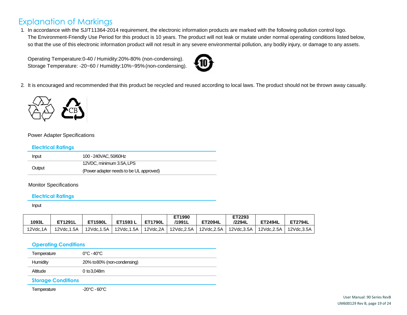## Explanation of Markings

1. In accordance with the SJ/T11364-2014 requirement, the electronic information products are marked with the following pollution control logo. The Environment-Friendly Use Period for this product is 10 years. The product will not leak or mutate under normal operating conditions listed below, so that the use of this electronic information product will not result in any severe environmental pollution, any bodily injury, or damage to any assets.

Operating Temperature:0-40 / Humidity:20%-80% (non-condensing). Storage Temperature: -20~60 / Humidity:10%~95%(non-condensing).



2. It is encouraged and recommended that this product be recycled and reused according to local laws. The product should not be thrown away casually.



#### Power Adapter Specifications

#### **Electrical Ratings**

| Input  | 100 - 240 VAC, 50/60 Hz                 |
|--------|-----------------------------------------|
|        | 12VDC, minimum 3.5A, LPS                |
| Output | (Power adapter needs to be UL approved) |

#### Monitor Specifications

#### **Electrical Ratings**

Input

| 1093L    | <b>ET1291L</b> | <b>ET1590L</b> | ET1593 L                | <b>ET1790L</b> | ET1990<br>/1991L | <b>ET2094L</b> | ET2293<br>/2294L | <b>ET2494L</b>          | <b>ET2794L</b> |
|----------|----------------|----------------|-------------------------|----------------|------------------|----------------|------------------|-------------------------|----------------|
| 12Vdc.1A | 12Vdc.1.5A     |                | 12Vdc.1.5A   12Vdc.1.5A | 12Vdc.2A I     | $12$ Vdc.2.5A I  | 12Vdc.2.5A     |                  | 12Vdc.3.5A   12Vdc.2.5A | 12Vdc.3.5A     |

#### **Operating Conditions**

| Temperature               | $0^{\circ}$ C - 40 $^{\circ}$ C |
|---------------------------|---------------------------------|
| Humidity                  | 20% to 80% (non-condensing)     |
| Altitude                  | 0 to 3.048m                     |
| <b>Storage Conditions</b> |                                 |

Temperature -20°C - 60°C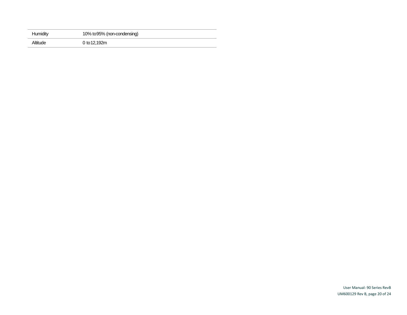| Humidity | 10% to 95% (non-condensing) |
|----------|-----------------------------|
| Altitude | 0 to 12,192m                |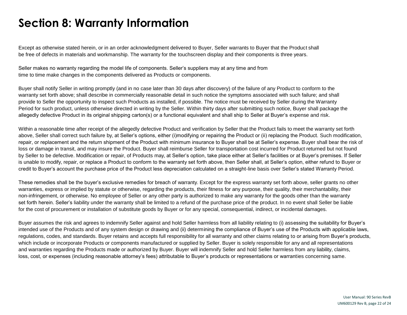## <span id="page-21-0"></span>**Section 8: Warranty Information**

Except as otherwise stated herein, or in an order acknowledgment delivered to Buyer, Seller warrants to Buyer that the Product shall be free of defects in materials and workmanship. The warranty for the touchscreen display and their components is three years.

Seller makes no warranty regarding the model life of components. Seller's suppliers may at any time and from time to time make changes in the components delivered as Products or components.

Buyer shall notify Seller in writing promptly (and in no case later than 30 days after discovery) of the failure of any Product to conform to the warranty set forth above; shall describe in commercially reasonable detail in such notice the symptoms associated with such failure; and shall provide to Seller the opportunity to inspect such Products as installed, if possible. The notice must be received by Seller during the Warranty Period for such product, unless otherwise directed in writing by the Seller. Within thirty days after submitting such notice, Buyer shall package the allegedly defective Product in its original shipping carton(s) or a functional equivalent and shall ship to Seller at Buyer's expense and risk.

Within a reasonable time after receipt of the allegedly defective Product and verification by Seller that the Product fails to meet the warranty set forth above, Seller shall correct such failure by, at Seller's options, either (i)modifying or repairing the Product or (ii) replacing the Product. Such modification, repair, or replacement and the return shipment of the Product with minimum insurance to Buyer shall be at Seller's expense. Buyer shall bear the risk of loss or damage in transit, and may insure the Product. Buyer shall reimburse Seller for transportation cost incurred for Product returned but not found by Seller to be defective. Modification or repair, of Products may, at Seller's option, take place either at Seller's facilities or at Buyer's premises. If Seller is unable to modify, repair, or replace a Product to conform to the warranty set forth above, then Seller shall, at Seller's option, either refund to Buyer or credit to Buyer's account the purchase price of the Product less depreciation calculated on a straight-line basis over Seller's stated Warranty Period.

These remedies shall be the buyer's exclusive remedies for breach of warranty. Except for the express warranty set forth above, seller grants no other warranties, express or implied by statute or otherwise, regarding the products, their fitness for any purpose, their quality, their merchantability, their non-infringement, or otherwise. No employee of Seller or any other party is authorized to make any warranty for the goods other than the warranty set forth herein. Seller's liability under the warranty shall be limited to a refund of the purchase price of the product. In no event shall Seller be liable for the cost of procurement or installation of substitute goods by Buyer or for any special, consequential, indirect, or incidental damages.

Buyer assumes the risk and agrees to indemnify Seller against and hold Seller harmless from all liability relating to (i) assessing the suitability for Buyer's intended use of the Products and of any system design or drawing and (ii) determining the compliance of Buyer's use of the Products with applicable laws, regulations, codes, and standards. Buyer retains and accepts full responsibility for all warranty and other claims relating to or arising from Buyer's products, which include or incorporate Products or components manufactured or supplied by Seller. Buyer is solely responsible for any and all representations and warranties regarding the Products made or authorized by Buyer. Buyer will indemnify Seller and hold Seller harmless from any liability, claims, loss, cost, or expenses (including reasonable attorney's fees) attributable to Buyer's products or representations or warranties concerning same.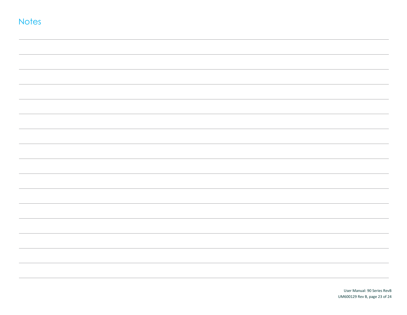| <b>Notes</b> |  |  |  |
|--------------|--|--|--|
|              |  |  |  |
|              |  |  |  |
|              |  |  |  |
|              |  |  |  |
|              |  |  |  |
|              |  |  |  |
|              |  |  |  |
|              |  |  |  |
|              |  |  |  |
|              |  |  |  |
|              |  |  |  |
|              |  |  |  |
|              |  |  |  |
|              |  |  |  |
|              |  |  |  |
|              |  |  |  |
|              |  |  |  |
|              |  |  |  |
|              |  |  |  |
|              |  |  |  |
|              |  |  |  |
|              |  |  |  |
|              |  |  |  |
|              |  |  |  |